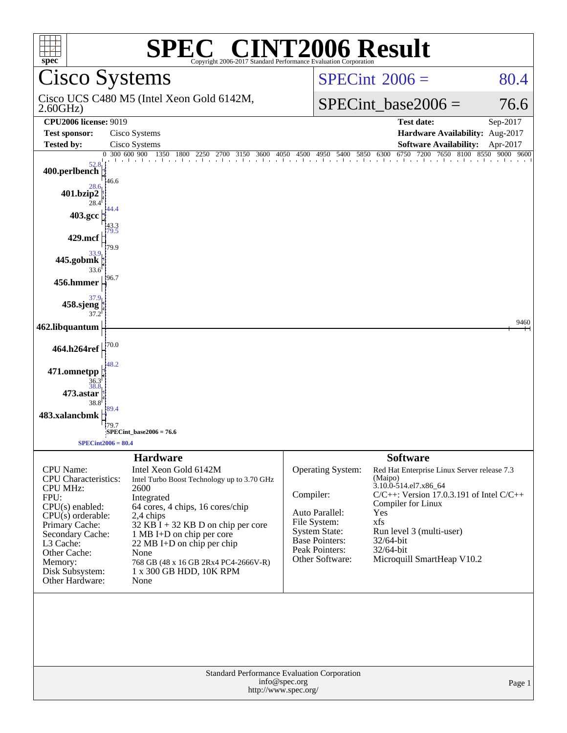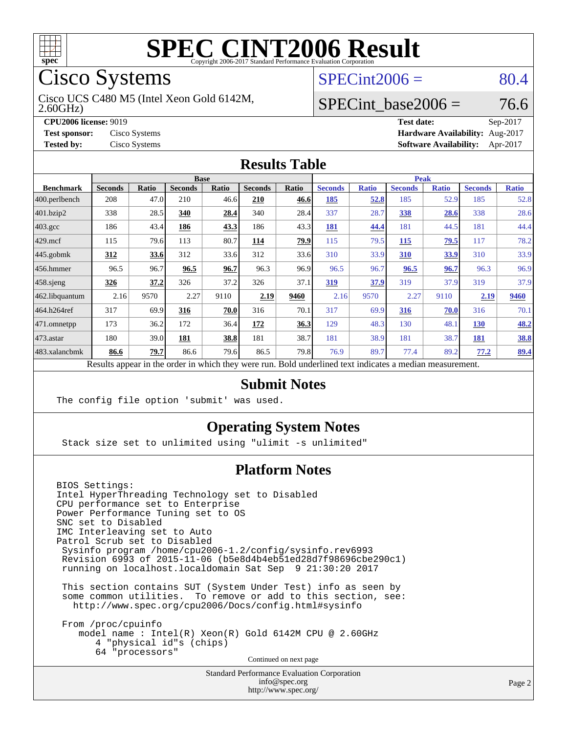

Cisco Systems

2.60GHz) Cisco UCS C480 M5 (Intel Xeon Gold 6142M,

 $SPECint2006 = 80.4$  $SPECint2006 = 80.4$ 

## SPECint base2006 =  $76.6$

**[CPU2006 license:](http://www.spec.org/auto/cpu2006/Docs/result-fields.html#CPU2006license)** 9019 **[Test date:](http://www.spec.org/auto/cpu2006/Docs/result-fields.html#Testdate)** Sep-2017 **[Test sponsor:](http://www.spec.org/auto/cpu2006/Docs/result-fields.html#Testsponsor)** Cisco Systems **[Hardware Availability:](http://www.spec.org/auto/cpu2006/Docs/result-fields.html#HardwareAvailability)** Aug-2017 **[Tested by:](http://www.spec.org/auto/cpu2006/Docs/result-fields.html#Testedby)** Cisco Systems **[Software Availability:](http://www.spec.org/auto/cpu2006/Docs/result-fields.html#SoftwareAvailability)** Apr-2017

#### **[Results Table](http://www.spec.org/auto/cpu2006/Docs/result-fields.html#ResultsTable)**

|                                                                                                          | <b>Base</b>    |              |                |              |                |       | Peak           |              |                |              |                |              |
|----------------------------------------------------------------------------------------------------------|----------------|--------------|----------------|--------------|----------------|-------|----------------|--------------|----------------|--------------|----------------|--------------|
| <b>Benchmark</b>                                                                                         | <b>Seconds</b> | <b>Ratio</b> | <b>Seconds</b> | <b>Ratio</b> | <b>Seconds</b> | Ratio | <b>Seconds</b> | <b>Ratio</b> | <b>Seconds</b> | <b>Ratio</b> | <b>Seconds</b> | <b>Ratio</b> |
| 400.perlbench                                                                                            | 208            | 47.0         | 210            | 46.6         | 210            | 46.6  | 185            | 52.8         | 185            | 52.9         | 185            | 52.8         |
| 401.bzip2                                                                                                | 338            | 28.5         | 340            | 28.4         | 340            | 28.4  | 337            | 28.7         | 338            | 28.6         | 338            | 28.6         |
| $403.\text{gcc}$                                                                                         | 186            | 43.4         | 186            | 43.3         | 186            | 43.3  | 181            | 44.4         | 181            | 44.5         | 181            | 44.4         |
| $429$ mcf                                                                                                | 115            | 79.6         | 113            | 80.7         | 114            | 79.9  | 115            | 79.5         | 115            | 79.5         | 117            | 78.2         |
| $445$ .gobmk                                                                                             | 312            | 33.6         | 312            | 33.6         | 312            | 33.6  | 310            | 33.9         | 310            | 33.9         | 310            | 33.9         |
| 456.hmmer                                                                                                | 96.5           | 96.7         | 96.5           | 96.7         | 96.3           | 96.9  | 96.5           | 96.7         | 96.5           | 96.7         | 96.3           | 96.9         |
| $458$ .sjeng                                                                                             | 326            | 37.2         | 326            | 37.2         | 326            | 37.1  | 319            | 37.9         | 319            | 37.9         | 319            | 37.9         |
| 462.libquantum                                                                                           | 2.16           | 9570         | 2.27           | 9110         | 2.19           | 9460  | 2.16           | 9570         | 2.27           | 9110         | 2.19           | 9460         |
| 464.h264ref                                                                                              | 317            | 69.9         | 316            | 70.0         | 316            | 70.1  | 317            | 69.9         | 316            | 70.0         | 316            | 70.1         |
| $ 471$ .omnetpp                                                                                          | 173            | 36.2         | 172            | 36.4         | 172            | 36.3  | 129            | 48.3         | 130            | 48.1         | <b>130</b>     | 48.2         |
| $473$ . astar                                                                                            | 180            | 39.0         | 181            | 38.8         | 181            | 38.7  | 181            | 38.9         | 181            | 38.7         | 181            | 38.8         |
| 483.xalancbmk                                                                                            | 86.6           | 79.7         | 86.6           | 79.6         | 86.5           | 79.8  | 76.9           | 89.7         | 77.4           | 89.2         | 77.2           | 89.4         |
| Results appear in the order in which they were run. Bold underlined text indicates a median measurement. |                |              |                |              |                |       |                |              |                |              |                |              |

#### **[Submit Notes](http://www.spec.org/auto/cpu2006/Docs/result-fields.html#SubmitNotes)**

The config file option 'submit' was used.

#### **[Operating System Notes](http://www.spec.org/auto/cpu2006/Docs/result-fields.html#OperatingSystemNotes)**

Stack size set to unlimited using "ulimit -s unlimited"

#### **[Platform Notes](http://www.spec.org/auto/cpu2006/Docs/result-fields.html#PlatformNotes)**

BIOS Settings: Intel HyperThreading Technology set to Disabled CPU performance set to Enterprise Power Performance Tuning set to OS SNC set to Disabled IMC Interleaving set to Auto Patrol Scrub set to Disabled Sysinfo program /home/cpu2006-1.2/config/sysinfo.rev6993 Revision 6993 of 2015-11-06 (b5e8d4b4eb51ed28d7f98696cbe290c1) running on localhost.localdomain Sat Sep 9 21:30:20 2017 This section contains SUT (System Under Test) info as seen by some common utilities. To remove or add to this section, see: <http://www.spec.org/cpu2006/Docs/config.html#sysinfo> From /proc/cpuinfo

 model name : Intel(R) Xeon(R) Gold 6142M CPU @ 2.60GHz 4 "physical id"s (chips) 64 "processors"

Continued on next page

Standard Performance Evaluation Corporation [info@spec.org](mailto:info@spec.org) <http://www.spec.org/>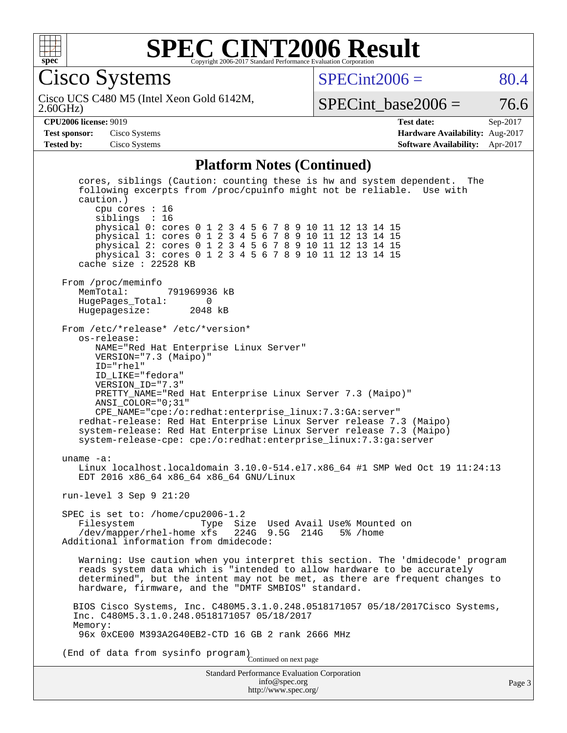

Cisco Systems

 $SPECint2006 = 80.4$  $SPECint2006 = 80.4$ 

2.60GHz) Cisco UCS C480 M5 (Intel Xeon Gold 6142M,

SPECint base2006 =  $76.6$ 

**[CPU2006 license:](http://www.spec.org/auto/cpu2006/Docs/result-fields.html#CPU2006license)** 9019 **[Test date:](http://www.spec.org/auto/cpu2006/Docs/result-fields.html#Testdate)** Sep-2017 **[Test sponsor:](http://www.spec.org/auto/cpu2006/Docs/result-fields.html#Testsponsor)** Cisco Systems **[Hardware Availability:](http://www.spec.org/auto/cpu2006/Docs/result-fields.html#HardwareAvailability)** Aug-2017 **[Tested by:](http://www.spec.org/auto/cpu2006/Docs/result-fields.html#Testedby)** Cisco Systems **[Software Availability:](http://www.spec.org/auto/cpu2006/Docs/result-fields.html#SoftwareAvailability)** Apr-2017

#### **[Platform Notes \(Continued\)](http://www.spec.org/auto/cpu2006/Docs/result-fields.html#PlatformNotes)**

Standard Performance Evaluation Corporation [info@spec.org](mailto:info@spec.org) cores, siblings (Caution: counting these is hw and system dependent. The following excerpts from /proc/cpuinfo might not be reliable. Use with caution.) cpu cores : 16 siblings : 16 physical 0: cores 0 1 2 3 4 5 6 7 8 9 10 11 12 13 14 15 physical 1: cores 0 1 2 3 4 5 6 7 8 9 10 11 12 13 14 15 physical 2: cores 0 1 2 3 4 5 6 7 8 9 10 11 12 13 14 15 physical 3: cores 0 1 2 3 4 5 6 7 8 9 10 11 12 13 14 15 cache size : 22528 KB From /proc/meminfo MemTotal: 791969936 kB HugePages\_Total: 0<br>Hugepagesize: 2048 kB Hugepagesize: From /etc/\*release\* /etc/\*version\* os-release: NAME="Red Hat Enterprise Linux Server" VERSION="7.3 (Maipo)" ID="rhel" ID\_LIKE="fedora" VERSION\_ID="7.3" PRETTY\_NAME="Red Hat Enterprise Linux Server 7.3 (Maipo)" ANSI\_COLOR="0;31" CPE\_NAME="cpe:/o:redhat:enterprise\_linux:7.3:GA:server" redhat-release: Red Hat Enterprise Linux Server release 7.3 (Maipo) system-release: Red Hat Enterprise Linux Server release 7.3 (Maipo) system-release-cpe: cpe:/o:redhat:enterprise\_linux:7.3:ga:server uname -a: Linux localhost.localdomain 3.10.0-514.el7.x86\_64 #1 SMP Wed Oct 19 11:24:13 EDT 2016 x86\_64 x86\_64 x86\_64 GNU/Linux run-level 3 Sep 9 21:20 SPEC is set to: /home/cpu2006-1.2<br>Filesystem Type Si Filesystem Type Size Used Avail Use% Mounted on<br>/dev/mapper/rhel-home xfs 224G 9.5G 214G 5% /home 224G 9.5G 214G 5% /home Additional information from dmidecode: Warning: Use caution when you interpret this section. The 'dmidecode' program reads system data which is "intended to allow hardware to be accurately determined", but the intent may not be met, as there are frequent changes to hardware, firmware, and the "DMTF SMBIOS" standard. BIOS Cisco Systems, Inc. C480M5.3.1.0.248.0518171057 05/18/2017Cisco Systems, Inc. C480M5.3.1.0.248.0518171057 05/18/2017 Memory: 96x 0xCE00 M393A2G40EB2-CTD 16 GB 2 rank 2666 MHz (End of data from sysinfo program) Continued on next page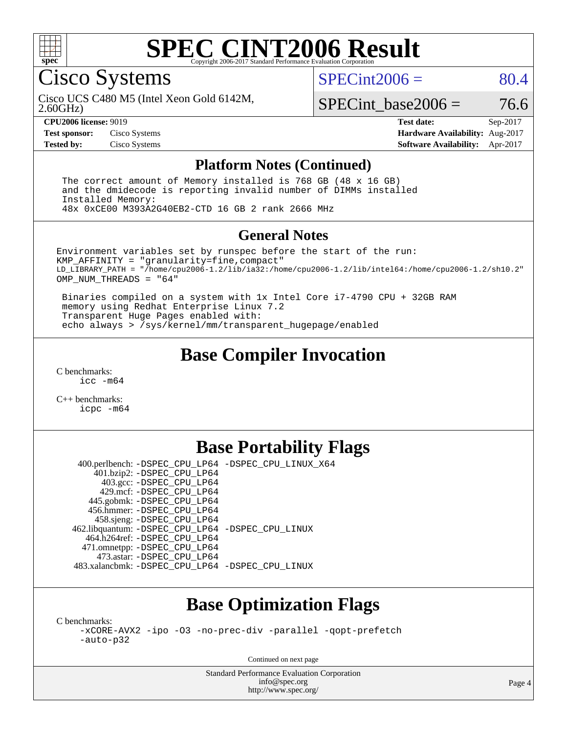

#### **[SPEC CINT2006 Result](http://www.spec.org/auto/cpu2006/Docs/result-fields.html#SPECCINT2006Result)** Copyright 2006-2017 Standard Performance Evaluation C

Cisco Systems

 $SPECint2006 = 80.4$  $SPECint2006 = 80.4$ 

2.60GHz) Cisco UCS C480 M5 (Intel Xeon Gold 6142M,

 $SPECTnt base2006 = 76.6$ 

**[CPU2006 license:](http://www.spec.org/auto/cpu2006/Docs/result-fields.html#CPU2006license)** 9019 **[Test date:](http://www.spec.org/auto/cpu2006/Docs/result-fields.html#Testdate)** Sep-2017 **[Test sponsor:](http://www.spec.org/auto/cpu2006/Docs/result-fields.html#Testsponsor)** Cisco Systems **[Hardware Availability:](http://www.spec.org/auto/cpu2006/Docs/result-fields.html#HardwareAvailability)** Aug-2017 **[Tested by:](http://www.spec.org/auto/cpu2006/Docs/result-fields.html#Testedby)** Cisco Systems **[Software Availability:](http://www.spec.org/auto/cpu2006/Docs/result-fields.html#SoftwareAvailability)** Apr-2017

#### **[Platform Notes \(Continued\)](http://www.spec.org/auto/cpu2006/Docs/result-fields.html#PlatformNotes)**

 The correct amount of Memory installed is 768 GB (48 x 16 GB) and the dmidecode is reporting invalid number of DIMMs installed Installed Memory: 48x 0xCE00 M393A2G40EB2-CTD 16 GB 2 rank 2666 MHz

#### **[General Notes](http://www.spec.org/auto/cpu2006/Docs/result-fields.html#GeneralNotes)**

Environment variables set by runspec before the start of the run: KMP\_AFFINITY = "granularity=fine,compact" LD\_LIBRARY\_PATH = "/home/cpu2006-1.2/lib/ia32:/home/cpu2006-1.2/lib/intel64:/home/cpu2006-1.2/sh10.2" OMP NUM THREADS = "64"

 Binaries compiled on a system with 1x Intel Core i7-4790 CPU + 32GB RAM memory using Redhat Enterprise Linux 7.2 Transparent Huge Pages enabled with: echo always > /sys/kernel/mm/transparent\_hugepage/enabled

## **[Base Compiler Invocation](http://www.spec.org/auto/cpu2006/Docs/result-fields.html#BaseCompilerInvocation)**

[C benchmarks](http://www.spec.org/auto/cpu2006/Docs/result-fields.html#Cbenchmarks): [icc -m64](http://www.spec.org/cpu2006/results/res2017q4/cpu2006-20170919-50149.flags.html#user_CCbase_intel_icc_64bit_bda6cc9af1fdbb0edc3795bac97ada53)

[C++ benchmarks:](http://www.spec.org/auto/cpu2006/Docs/result-fields.html#CXXbenchmarks) [icpc -m64](http://www.spec.org/cpu2006/results/res2017q4/cpu2006-20170919-50149.flags.html#user_CXXbase_intel_icpc_64bit_fc66a5337ce925472a5c54ad6a0de310)

# **[Base Portability Flags](http://www.spec.org/auto/cpu2006/Docs/result-fields.html#BasePortabilityFlags)**

 400.perlbench: [-DSPEC\\_CPU\\_LP64](http://www.spec.org/cpu2006/results/res2017q4/cpu2006-20170919-50149.flags.html#b400.perlbench_basePORTABILITY_DSPEC_CPU_LP64) [-DSPEC\\_CPU\\_LINUX\\_X64](http://www.spec.org/cpu2006/results/res2017q4/cpu2006-20170919-50149.flags.html#b400.perlbench_baseCPORTABILITY_DSPEC_CPU_LINUX_X64) 401.bzip2: [-DSPEC\\_CPU\\_LP64](http://www.spec.org/cpu2006/results/res2017q4/cpu2006-20170919-50149.flags.html#suite_basePORTABILITY401_bzip2_DSPEC_CPU_LP64) 403.gcc: [-DSPEC\\_CPU\\_LP64](http://www.spec.org/cpu2006/results/res2017q4/cpu2006-20170919-50149.flags.html#suite_basePORTABILITY403_gcc_DSPEC_CPU_LP64) 429.mcf: [-DSPEC\\_CPU\\_LP64](http://www.spec.org/cpu2006/results/res2017q4/cpu2006-20170919-50149.flags.html#suite_basePORTABILITY429_mcf_DSPEC_CPU_LP64) 445.gobmk: [-DSPEC\\_CPU\\_LP64](http://www.spec.org/cpu2006/results/res2017q4/cpu2006-20170919-50149.flags.html#suite_basePORTABILITY445_gobmk_DSPEC_CPU_LP64) 456.hmmer: [-DSPEC\\_CPU\\_LP64](http://www.spec.org/cpu2006/results/res2017q4/cpu2006-20170919-50149.flags.html#suite_basePORTABILITY456_hmmer_DSPEC_CPU_LP64) 458.sjeng: [-DSPEC\\_CPU\\_LP64](http://www.spec.org/cpu2006/results/res2017q4/cpu2006-20170919-50149.flags.html#suite_basePORTABILITY458_sjeng_DSPEC_CPU_LP64) 462.libquantum: [-DSPEC\\_CPU\\_LP64](http://www.spec.org/cpu2006/results/res2017q4/cpu2006-20170919-50149.flags.html#suite_basePORTABILITY462_libquantum_DSPEC_CPU_LP64) [-DSPEC\\_CPU\\_LINUX](http://www.spec.org/cpu2006/results/res2017q4/cpu2006-20170919-50149.flags.html#b462.libquantum_baseCPORTABILITY_DSPEC_CPU_LINUX) 464.h264ref: [-DSPEC\\_CPU\\_LP64](http://www.spec.org/cpu2006/results/res2017q4/cpu2006-20170919-50149.flags.html#suite_basePORTABILITY464_h264ref_DSPEC_CPU_LP64) 471.omnetpp: [-DSPEC\\_CPU\\_LP64](http://www.spec.org/cpu2006/results/res2017q4/cpu2006-20170919-50149.flags.html#suite_basePORTABILITY471_omnetpp_DSPEC_CPU_LP64) 473.astar: [-DSPEC\\_CPU\\_LP64](http://www.spec.org/cpu2006/results/res2017q4/cpu2006-20170919-50149.flags.html#suite_basePORTABILITY473_astar_DSPEC_CPU_LP64) 483.xalancbmk: [-DSPEC\\_CPU\\_LP64](http://www.spec.org/cpu2006/results/res2017q4/cpu2006-20170919-50149.flags.html#suite_basePORTABILITY483_xalancbmk_DSPEC_CPU_LP64) [-DSPEC\\_CPU\\_LINUX](http://www.spec.org/cpu2006/results/res2017q4/cpu2006-20170919-50149.flags.html#b483.xalancbmk_baseCXXPORTABILITY_DSPEC_CPU_LINUX)

# **[Base Optimization Flags](http://www.spec.org/auto/cpu2006/Docs/result-fields.html#BaseOptimizationFlags)**

[C benchmarks](http://www.spec.org/auto/cpu2006/Docs/result-fields.html#Cbenchmarks):

[-xCORE-AVX2](http://www.spec.org/cpu2006/results/res2017q4/cpu2006-20170919-50149.flags.html#user_CCbase_f-xCORE-AVX2) [-ipo](http://www.spec.org/cpu2006/results/res2017q4/cpu2006-20170919-50149.flags.html#user_CCbase_f-ipo) [-O3](http://www.spec.org/cpu2006/results/res2017q4/cpu2006-20170919-50149.flags.html#user_CCbase_f-O3) [-no-prec-div](http://www.spec.org/cpu2006/results/res2017q4/cpu2006-20170919-50149.flags.html#user_CCbase_f-no-prec-div) [-parallel](http://www.spec.org/cpu2006/results/res2017q4/cpu2006-20170919-50149.flags.html#user_CCbase_f-parallel) [-qopt-prefetch](http://www.spec.org/cpu2006/results/res2017q4/cpu2006-20170919-50149.flags.html#user_CCbase_f-qopt-prefetch) [-auto-p32](http://www.spec.org/cpu2006/results/res2017q4/cpu2006-20170919-50149.flags.html#user_CCbase_f-auto-p32)

Continued on next page

Standard Performance Evaluation Corporation [info@spec.org](mailto:info@spec.org) <http://www.spec.org/>

Page 4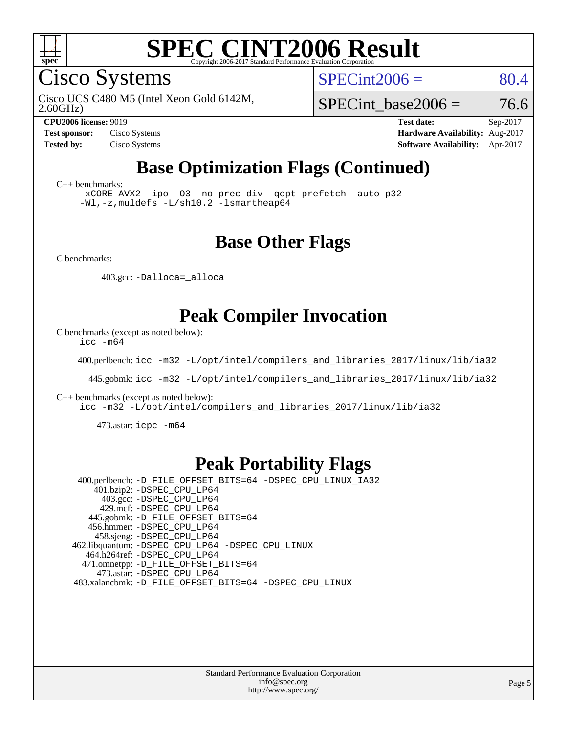

Cisco Systems

 $SPECint2006 = 80.4$  $SPECint2006 = 80.4$ 

2.60GHz) Cisco UCS C480 M5 (Intel Xeon Gold 6142M,

SPECint base2006 =  $76.6$ 

**[CPU2006 license:](http://www.spec.org/auto/cpu2006/Docs/result-fields.html#CPU2006license)** 9019 **[Test date:](http://www.spec.org/auto/cpu2006/Docs/result-fields.html#Testdate)** Sep-2017 **[Test sponsor:](http://www.spec.org/auto/cpu2006/Docs/result-fields.html#Testsponsor)** Cisco Systems **[Hardware Availability:](http://www.spec.org/auto/cpu2006/Docs/result-fields.html#HardwareAvailability)** Aug-2017 **[Tested by:](http://www.spec.org/auto/cpu2006/Docs/result-fields.html#Testedby)** Cisco Systems **[Software Availability:](http://www.spec.org/auto/cpu2006/Docs/result-fields.html#SoftwareAvailability)** Apr-2017

# **[Base Optimization Flags \(Continued\)](http://www.spec.org/auto/cpu2006/Docs/result-fields.html#BaseOptimizationFlags)**

[C++ benchmarks:](http://www.spec.org/auto/cpu2006/Docs/result-fields.html#CXXbenchmarks)

[-xCORE-AVX2](http://www.spec.org/cpu2006/results/res2017q4/cpu2006-20170919-50149.flags.html#user_CXXbase_f-xCORE-AVX2) [-ipo](http://www.spec.org/cpu2006/results/res2017q4/cpu2006-20170919-50149.flags.html#user_CXXbase_f-ipo) [-O3](http://www.spec.org/cpu2006/results/res2017q4/cpu2006-20170919-50149.flags.html#user_CXXbase_f-O3) [-no-prec-div](http://www.spec.org/cpu2006/results/res2017q4/cpu2006-20170919-50149.flags.html#user_CXXbase_f-no-prec-div) [-qopt-prefetch](http://www.spec.org/cpu2006/results/res2017q4/cpu2006-20170919-50149.flags.html#user_CXXbase_f-qopt-prefetch) [-auto-p32](http://www.spec.org/cpu2006/results/res2017q4/cpu2006-20170919-50149.flags.html#user_CXXbase_f-auto-p32) [-Wl,-z,muldefs](http://www.spec.org/cpu2006/results/res2017q4/cpu2006-20170919-50149.flags.html#user_CXXbase_link_force_multiple1_74079c344b956b9658436fd1b6dd3a8a) [-L/sh10.2 -lsmartheap64](http://www.spec.org/cpu2006/results/res2017q4/cpu2006-20170919-50149.flags.html#user_CXXbase_SmartHeap64_63911d860fc08c15fa1d5bf319b9d8d5)

### **[Base Other Flags](http://www.spec.org/auto/cpu2006/Docs/result-fields.html#BaseOtherFlags)**

[C benchmarks](http://www.spec.org/auto/cpu2006/Docs/result-fields.html#Cbenchmarks):

403.gcc: [-Dalloca=\\_alloca](http://www.spec.org/cpu2006/results/res2017q4/cpu2006-20170919-50149.flags.html#b403.gcc_baseEXTRA_CFLAGS_Dalloca_be3056838c12de2578596ca5467af7f3)

## **[Peak Compiler Invocation](http://www.spec.org/auto/cpu2006/Docs/result-fields.html#PeakCompilerInvocation)**

[C benchmarks \(except as noted below\)](http://www.spec.org/auto/cpu2006/Docs/result-fields.html#Cbenchmarksexceptasnotedbelow):

[icc -m64](http://www.spec.org/cpu2006/results/res2017q4/cpu2006-20170919-50149.flags.html#user_CCpeak_intel_icc_64bit_bda6cc9af1fdbb0edc3795bac97ada53)

400.perlbench: [icc -m32 -L/opt/intel/compilers\\_and\\_libraries\\_2017/linux/lib/ia32](http://www.spec.org/cpu2006/results/res2017q4/cpu2006-20170919-50149.flags.html#user_peakCCLD400_perlbench_intel_icc_c29f3ff5a7ed067b11e4ec10a03f03ae)

445.gobmk: [icc -m32 -L/opt/intel/compilers\\_and\\_libraries\\_2017/linux/lib/ia32](http://www.spec.org/cpu2006/results/res2017q4/cpu2006-20170919-50149.flags.html#user_peakCCLD445_gobmk_intel_icc_c29f3ff5a7ed067b11e4ec10a03f03ae)

[C++ benchmarks \(except as noted below\):](http://www.spec.org/auto/cpu2006/Docs/result-fields.html#CXXbenchmarksexceptasnotedbelow)

[icc -m32 -L/opt/intel/compilers\\_and\\_libraries\\_2017/linux/lib/ia32](http://www.spec.org/cpu2006/results/res2017q4/cpu2006-20170919-50149.flags.html#user_CXXpeak_intel_icc_c29f3ff5a7ed067b11e4ec10a03f03ae)

473.astar: [icpc -m64](http://www.spec.org/cpu2006/results/res2017q4/cpu2006-20170919-50149.flags.html#user_peakCXXLD473_astar_intel_icpc_64bit_fc66a5337ce925472a5c54ad6a0de310)

### **[Peak Portability Flags](http://www.spec.org/auto/cpu2006/Docs/result-fields.html#PeakPortabilityFlags)**

 400.perlbench: [-D\\_FILE\\_OFFSET\\_BITS=64](http://www.spec.org/cpu2006/results/res2017q4/cpu2006-20170919-50149.flags.html#user_peakPORTABILITY400_perlbench_file_offset_bits_64_438cf9856305ebd76870a2c6dc2689ab) [-DSPEC\\_CPU\\_LINUX\\_IA32](http://www.spec.org/cpu2006/results/res2017q4/cpu2006-20170919-50149.flags.html#b400.perlbench_peakCPORTABILITY_DSPEC_CPU_LINUX_IA32) 401.bzip2: [-DSPEC\\_CPU\\_LP64](http://www.spec.org/cpu2006/results/res2017q4/cpu2006-20170919-50149.flags.html#suite_peakPORTABILITY401_bzip2_DSPEC_CPU_LP64) 403.gcc: [-DSPEC\\_CPU\\_LP64](http://www.spec.org/cpu2006/results/res2017q4/cpu2006-20170919-50149.flags.html#suite_peakPORTABILITY403_gcc_DSPEC_CPU_LP64) 429.mcf: [-DSPEC\\_CPU\\_LP64](http://www.spec.org/cpu2006/results/res2017q4/cpu2006-20170919-50149.flags.html#suite_peakPORTABILITY429_mcf_DSPEC_CPU_LP64) 445.gobmk: [-D\\_FILE\\_OFFSET\\_BITS=64](http://www.spec.org/cpu2006/results/res2017q4/cpu2006-20170919-50149.flags.html#user_peakPORTABILITY445_gobmk_file_offset_bits_64_438cf9856305ebd76870a2c6dc2689ab) 456.hmmer: [-DSPEC\\_CPU\\_LP64](http://www.spec.org/cpu2006/results/res2017q4/cpu2006-20170919-50149.flags.html#suite_peakPORTABILITY456_hmmer_DSPEC_CPU_LP64) 458.sjeng: [-DSPEC\\_CPU\\_LP64](http://www.spec.org/cpu2006/results/res2017q4/cpu2006-20170919-50149.flags.html#suite_peakPORTABILITY458_sjeng_DSPEC_CPU_LP64) 462.libquantum: [-DSPEC\\_CPU\\_LP64](http://www.spec.org/cpu2006/results/res2017q4/cpu2006-20170919-50149.flags.html#suite_peakPORTABILITY462_libquantum_DSPEC_CPU_LP64) [-DSPEC\\_CPU\\_LINUX](http://www.spec.org/cpu2006/results/res2017q4/cpu2006-20170919-50149.flags.html#b462.libquantum_peakCPORTABILITY_DSPEC_CPU_LINUX) 464.h264ref: [-DSPEC\\_CPU\\_LP64](http://www.spec.org/cpu2006/results/res2017q4/cpu2006-20170919-50149.flags.html#suite_peakPORTABILITY464_h264ref_DSPEC_CPU_LP64) 471.omnetpp: [-D\\_FILE\\_OFFSET\\_BITS=64](http://www.spec.org/cpu2006/results/res2017q4/cpu2006-20170919-50149.flags.html#user_peakPORTABILITY471_omnetpp_file_offset_bits_64_438cf9856305ebd76870a2c6dc2689ab) 473.astar: [-DSPEC\\_CPU\\_LP64](http://www.spec.org/cpu2006/results/res2017q4/cpu2006-20170919-50149.flags.html#suite_peakPORTABILITY473_astar_DSPEC_CPU_LP64) 483.xalancbmk: [-D\\_FILE\\_OFFSET\\_BITS=64](http://www.spec.org/cpu2006/results/res2017q4/cpu2006-20170919-50149.flags.html#user_peakPORTABILITY483_xalancbmk_file_offset_bits_64_438cf9856305ebd76870a2c6dc2689ab) [-DSPEC\\_CPU\\_LINUX](http://www.spec.org/cpu2006/results/res2017q4/cpu2006-20170919-50149.flags.html#b483.xalancbmk_peakCXXPORTABILITY_DSPEC_CPU_LINUX)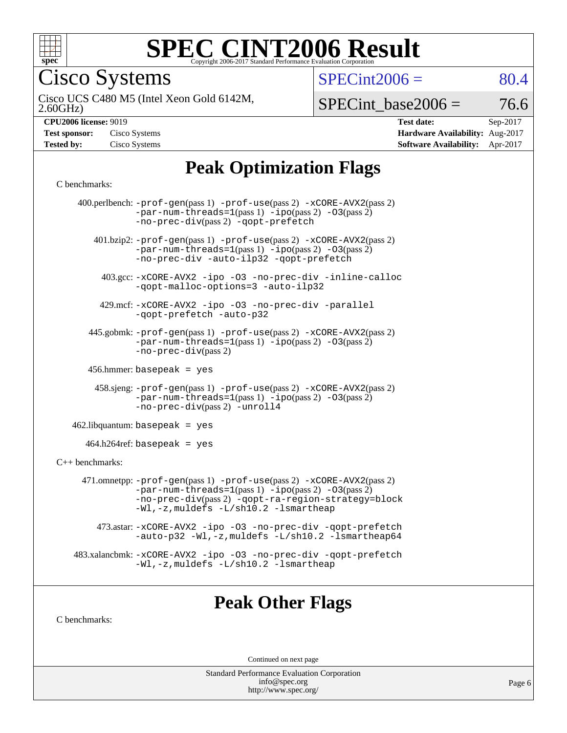

Cisco Systems

 $SPECint2006 = 80.4$  $SPECint2006 = 80.4$ 

2.60GHz) Cisco UCS C480 M5 (Intel Xeon Gold 6142M,

 $SPECTnt\_base2006 = 76.6$ 

| <b>Test sponsor:</b> | Cisco Systems |
|----------------------|---------------|
| <b>Tested by:</b>    | Cisco Systems |

**[CPU2006 license:](http://www.spec.org/auto/cpu2006/Docs/result-fields.html#CPU2006license)** 9019 **[Test date:](http://www.spec.org/auto/cpu2006/Docs/result-fields.html#Testdate)** Sep-2017 **[Hardware Availability:](http://www.spec.org/auto/cpu2006/Docs/result-fields.html#HardwareAvailability)** Aug-2017 **[Software Availability:](http://www.spec.org/auto/cpu2006/Docs/result-fields.html#SoftwareAvailability)** Apr-2017

# **[Peak Optimization Flags](http://www.spec.org/auto/cpu2006/Docs/result-fields.html#PeakOptimizationFlags)**

#### [C benchmarks](http://www.spec.org/auto/cpu2006/Docs/result-fields.html#Cbenchmarks):

|                   | 400.perlbench: -prof-gen(pass 1) -prof-use(pass 2) -xCORE-AVX2(pass 2)<br>$-par-num-threads=1(pass 1) -ipo(pass 2) -03(pass 2)$<br>-no-prec-div(pass 2) -qopt-prefetch                                                        |
|-------------------|-------------------------------------------------------------------------------------------------------------------------------------------------------------------------------------------------------------------------------|
|                   | 401.bzip2: -prof-gen(pass 1) -prof-use(pass 2) -xCORE-AVX2(pass 2)<br>$-par-num-threads=1(pass 1) -ipo(pass 2) -03(pass 2)$<br>-no-prec-div -auto-ilp32 -qopt-prefetch                                                        |
|                   | 403.gcc: -xCORE-AVX2 -ipo -03 -no-prec-div -inline-calloc<br>-qopt-malloc-options=3 -auto-ilp32                                                                                                                               |
|                   | 429.mcf: -xCORE-AVX2 -ipo -03 -no-prec-div -parallel<br>-gopt-prefetch -auto-p32                                                                                                                                              |
|                   | 445.gobmk: -prof-gen(pass 1) -prof-use(pass 2) -xCORE-AVX2(pass 2)<br>$-par-num-threads = 1 (pass 1) - ipo (pass 2) -03 (pass 2)$<br>$-no-prec-div(pass 2)$                                                                   |
|                   | 456.hmmer: basepeak = $yes$                                                                                                                                                                                                   |
|                   | 458.sjeng: -prof-gen(pass 1) -prof-use(pass 2) -xCORE-AVX2(pass 2)<br>$-par-num-threads=1(pass 1) -ipo(pass 2) -03(pass 2)$<br>-no-prec-div(pass 2) -unroll4                                                                  |
|                   | $462$ .libquantum: basepeak = yes                                                                                                                                                                                             |
|                   | $464.h264$ ref: basepeak = yes                                                                                                                                                                                                |
| $C++$ benchmarks: |                                                                                                                                                                                                                               |
|                   | 471.omnetpp: -prof-gen(pass 1) -prof-use(pass 2) -xCORE-AVX2(pass 2)<br>$-par-num-threads=1(pass 1) -ipo(pass 2) -03(pass 2)$<br>-no-prec-div(pass 2) -qopt-ra-region-strategy=block<br>-Wl,-z, muldefs -L/sh10.2 -lsmartheap |
|                   | 473.astar: -xCORE-AVX2 -ipo -03 -no-prec-div -qopt-prefetch<br>-auto-p32 -Wl,-z, muldefs -L/sh10.2 -lsmartheap64                                                                                                              |
|                   | 483.xalancbmk: -xCORE-AVX2 -ipo -03 -no-prec-div -qopt-prefetch<br>-Wl,-z, muldefs -L/sh10.2 -lsmartheap                                                                                                                      |
|                   |                                                                                                                                                                                                                               |

## **[Peak Other Flags](http://www.spec.org/auto/cpu2006/Docs/result-fields.html#PeakOtherFlags)**

[C benchmarks](http://www.spec.org/auto/cpu2006/Docs/result-fields.html#Cbenchmarks):

Continued on next page

Standard Performance Evaluation Corporation [info@spec.org](mailto:info@spec.org) <http://www.spec.org/>